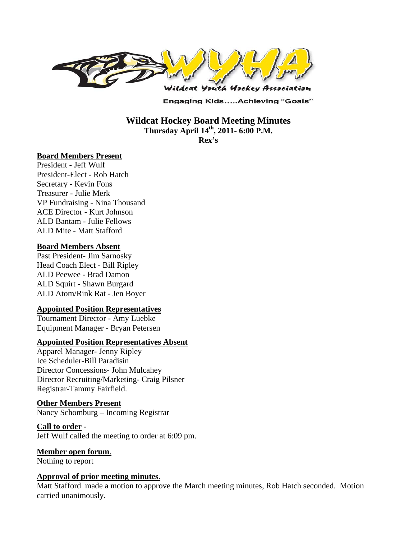

**Engaging Kids.....Achieving "Goals"** 

**Wildcat Hockey Board Meeting Minutes Thursday April 14th, 2011- 6:00 P.M.** 

**Rex's** 

#### **Board Members Present**

President - Jeff Wulf President-Elect - Rob Hatch Secretary - Kevin Fons Treasurer - Julie Merk VP Fundraising - Nina Thousand ACE Director - Kurt Johnson ALD Bantam - Julie Fellows ALD Mite - Matt Stafford

#### **Board Members Absent**

Past President- Jim Sarnosky Head Coach Elect - Bill Ripley ALD Peewee - Brad Damon ALD Squirt - Shawn Burgard ALD Atom/Rink Rat - Jen Boyer

#### **Appointed Position Representatives**

Tournament Director - Amy Luebke Equipment Manager - Bryan Petersen

#### **Appointed Position Representatives Absent**

Apparel Manager- Jenny Ripley Ice Scheduler-Bill Paradisin Director Concessions- John Mulcahey Director Recruiting/Marketing- Craig Pilsner Registrar-Tammy Fairfield.

#### **Other Members Present**

Nancy Schomburg – Incoming Registrar

#### **Call to order** -

Jeff Wulf called the meeting to order at 6:09 pm.

# **Member open forum**.

Nothing to report

#### **Approval of prior meeting minutes**.

Matt Stafford made a motion to approve the March meeting minutes, Rob Hatch seconded. Motion carried unanimously.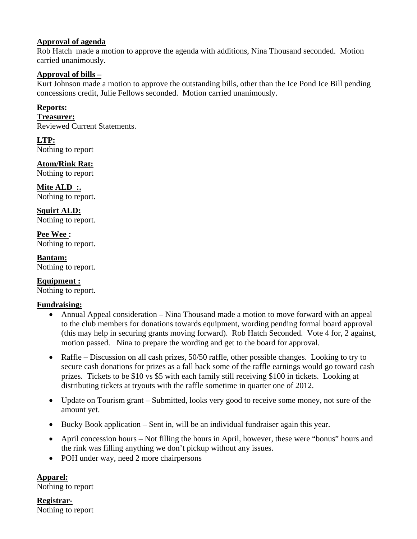# **Approval of agenda**

Rob Hatch made a motion to approve the agenda with additions, Nina Thousand seconded. Motion carried unanimously.

# **Approval of bills –**

Kurt Johnson made a motion to approve the outstanding bills, other than the Ice Pond Ice Bill pending concessions credit, Julie Fellows seconded. Motion carried unanimously.

# **Reports:**

#### **Treasurer:**

Reviewed Current Statements.

**LTP:**  Nothing to report

**Atom/Rink Rat:**  Nothing to report

**Mite ALD :.**  Nothing to report.

**Squirt ALD:**  Nothing to report.

**Pee Wee :**  Nothing to report.

**Bantam:**  Nothing to report.

**Equipment :**  Nothing to report.

### **Fundraising:**

- Annual Appeal consideration Nina Thousand made a motion to move forward with an appeal to the club members for donations towards equipment, wording pending formal board approval (this may help in securing grants moving forward). Rob Hatch Seconded. Vote 4 for, 2 against, motion passed. Nina to prepare the wording and get to the board for approval.
- Raffle Discussion on all cash prizes, 50/50 raffle, other possible changes. Looking to try to secure cash donations for prizes as a fall back some of the raffle earnings would go toward cash prizes. Tickets to be \$10 vs \$5 with each family still receiving \$100 in tickets. Looking at distributing tickets at tryouts with the raffle sometime in quarter one of 2012.
- Update on Tourism grant Submitted, looks very good to receive some money, not sure of the amount yet.
- Bucky Book application Sent in, will be an individual fundraiser again this year.
- April concession hours Not filling the hours in April, however, these were "bonus" hours and the rink was filling anything we don't pickup without any issues.
- POH under way, need 2 more chairpersons

**Apparel:**  Nothing to report

**Registrar-**Nothing to report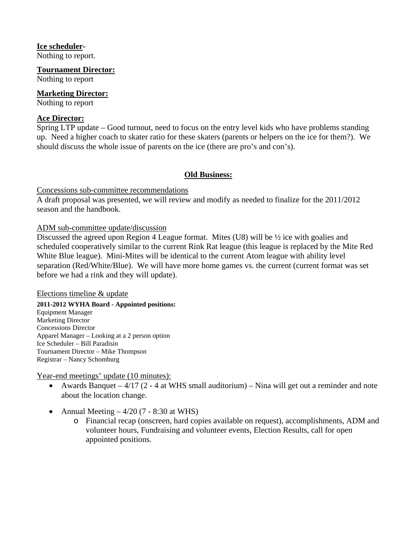## **Ice scheduler-**

Nothing to report.

**Tournament Director:**

Nothing to report

# **Marketing Director:**

Nothing to report

# **Ace Director:**

Spring LTP update – Good turnout, need to focus on the entry level kids who have problems standing up. Need a higher coach to skater ratio for these skaters (parents or helpers on the ice for them?). We should discuss the whole issue of parents on the ice (there are pro's and con's).

# **Old Business:**

Concessions sub-committee recommendations

A draft proposal was presented, we will review and modify as needed to finalize for the 2011/2012 season and the handbook.

### ADM sub-committee update/discussion

Discussed the agreed upon Region 4 League format. Mites (U8) will be ½ ice with goalies and scheduled cooperatively similar to the current Rink Rat league (this league is replaced by the Mite Red White Blue league). Mini-Mites will be identical to the current Atom league with ability level separation (Red/White/Blue). We will have more home games vs. the current (current format was set before we had a rink and they will update).

### Elections timeline & update

**2011-2012 WYHA Board - Appointed positions:**  Equipment Manager Marketing Director Concessions Director Apparel Manager – Looking at a 2 person option Ice Scheduler – Bill Paradisin Tournament Director – Mike Thompson Registrar – Nancy Schomburg

Year-end meetings' update (10 minutes):

- Awards Banquet  $4/17$  (2 4 at WHS small auditorium) Nina will get out a reminder and note about the location change.
- Annual Meeting  $-4/20$  (7 8:30 at WHS)
	- o Financial recap (onscreen, hard copies available on request), accomplishments, ADM and volunteer hours, Fundraising and volunteer events, Election Results, call for open appointed positions.